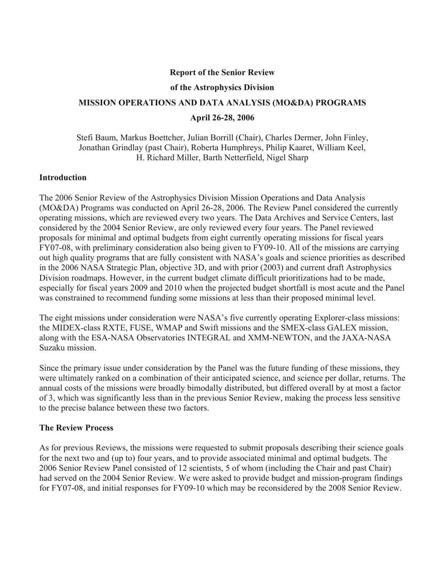#### **Report of the Senior Review**

#### **of the Astrophysics Division**

# **MISSION OPERATIONS AND DATA ANALYSIS (MO&DA) PROGRAMS April 26-28, 2006**

Stefi Baum, Markus Boettcher, Julian Borrill (Chair), Charles Dermer, John Finley, Jonathan Grindlay (past Chair), Roberta Humphreys, Philip Kaaret, William Keel, H. Richard Miller, Barth Netterfield, Nigel Sharp

### **Introduction**

The 2006 Senior Review of the Astrophysics Division Mission Operations and Data Analysis (MO&DA) Programs was conducted on April 26-28, 2006. The Review Panel considered the currently operating missions, which are reviewed every two years. The Data Archives and Service Centers, last considered by the 2004 Senior Review, are only reviewed every four years. The Panel reviewed proposals for minimal and optimal budgets from eight currently operating missions for fiscal years FY07-08, with preliminary consideration also being given to FY09-10. All of the missions are carrying out high quality programs that are fully consistent with NASA's goals and science priorities as described in the 2006 NASA Strategic Plan, objective 3D, and with prior (2003) and current draft Astrophysics Division roadmaps. However, in the current budget climate difficult prioritizations had to be made, especially for fiscal years 2009 and 2010 when the projected budget shortfall is most acute and the Panel was constrained to recommend funding some missions at less than their proposed minimal level.

The eight missions under consideration were NASA's five currently operating Explorer-class missions: the MIDEX-class RXTE, FUSE, WMAP and Swift missions and the SMEX-class GALEX mission, along with the ESA-NASA Observatories INTEGRAL and XMM-NEWTON, and the JAXA-NASA Suzaku mission.

Since the primary issue under consideration by the Panel was the future funding of these missions, they were ultimately ranked on a combination of their anticipated science, and science per dollar, returns. The annual costs of the missions were broadly bimodally distributed, but differed overall by at most a factor of 3, which was significantly less than in the previous Senior Review, making the process less sensitive to the precise balance between these two factors.

### **The Review Process**

As for previous Reviews, the missions were requested to submit proposals describing their science goals for the next two and (up to) four years, and to provide associated minimal and optimal budgets. The 2006 Senior Review Panel consisted of 12 scientists, 5 of whom (including the Chair and past Chair) had served on the 2004 Senior Review. We were asked to provide budget and mission-program findings for FY07-08, and initial responses for FY09-10 which may be reconsidered by the 2008 Senior Review.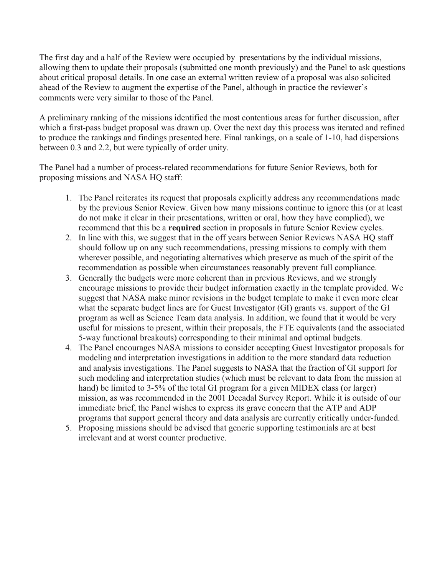The first day and a half of the Review were occupied by presentations by the individual missions, allowing them to update their proposals (submitted one month previously) and the Panel to ask questions about critical proposal details. In one case an external written review of a proposal was also solicited ahead of the Review to augment the expertise of the Panel, although in practice the reviewer's comments were very similar to those of the Panel.

A preliminary ranking of the missions identified the most contentious areas for further discussion, after which a first-pass budget proposal was drawn up. Over the next day this process was iterated and refined to produce the rankings and findings presented here. Final rankings, on a scale of 1-10, had dispersions between 0.3 and 2.2, but were typically of order unity.

The Panel had a number of process-related recommendations for future Senior Reviews, both for proposing missions and NASA HQ staff:

- 1. The Panel reiterates its request that proposals explicitly address any recommendations made by the previous Senior Review. Given how many missions continue to ignore this (or at least do not make it clear in their presentations, written or oral, how they have complied), we recommend that this be a **required** section in proposals in future Senior Review cycles.
- 2. In line with this, we suggest that in the off years between Senior Reviews NASA HQ staff should follow up on any such recommendations, pressing missions to comply with them wherever possible, and negotiating alternatives which preserve as much of the spirit of the recommendation as possible when circumstances reasonably prevent full compliance.
- 3. Generally the budgets were more coherent than in previous Reviews, and we strongly encourage missions to provide their budget information exactly in the template provided. We suggest that NASA make minor revisions in the budget template to make it even more clear what the separate budget lines are for Guest Investigator (GI) grants vs. support of the GI program as well as Science Team data analysis. In addition, we found that it would be very useful for missions to present, within their proposals, the FTE equivalents (and the associated 5-way functional breakouts) corresponding to their minimal and optimal budgets.
- 4. The Panel encourages NASA missions to consider accepting Guest Investigator proposals for modeling and interpretation investigations in addition to the more standard data reduction and analysis investigations. The Panel suggests to NASA that the fraction of GI support for such modeling and interpretation studies (which must be relevant to data from the mission at hand) be limited to 3-5% of the total GI program for a given MIDEX class (or larger) mission, as was recommended in the 2001 Decadal Survey Report. While it is outside of our immediate brief, the Panel wishes to express its grave concern that the ATP and ADP programs that support general theory and data analysis are currently critically under-funded.
- 5. Proposing missions should be advised that generic supporting testimonials are at best irrelevant and at worst counter productive.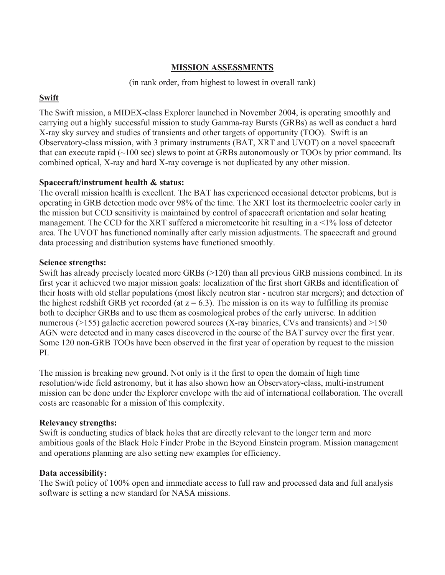## **MISSION ASSESSMENTS**

### (in rank order, from highest to lowest in overall rank)

### **Swift**

The Swift mission, a MIDEX-class Explorer launched in November 2004, is operating smoothly and carrying out a highly successful mission to study Gamma-ray Bursts (GRBs) as well as conduct a hard X-ray sky survey and studies of transients and other targets of opportunity (TOO). Swift is an Observatory-class mission, with 3 primary instruments (BAT, XRT and UVOT) on a novel spacecraft that can execute rapid  $(\sim 100 \text{ sec})$  slews to point at GRBs autonomously or TOOs by prior command. Its combined optical, X-ray and hard X-ray coverage is not duplicated by any other mission.

### **Spacecraft/instrument health & status:**

The overall mission health is excellent. The BAT has experienced occasional detector problems, but is operating in GRB detection mode over 98% of the time. The XRT lost its thermoelectric cooler early in the mission but CCD sensitivity is maintained by control of spacecraft orientation and solar heating management. The CCD for the XRT suffered a micrometeorite hit resulting in a <1% loss of detector area. The UVOT has functioned nominally after early mission adjustments. The spacecraft and ground data processing and distribution systems have functioned smoothly.

### **Science strengths:**

Swift has already precisely located more GRBs (>120) than all previous GRB missions combined. In its first year it achieved two major mission goals: localization of the first short GRBs and identification of their hosts with old stellar populations (most likely neutron star - neutron star mergers); and detection of the highest redshift GRB yet recorded (at  $z = 6.3$ ). The mission is on its way to fulfilling its promise both to decipher GRBs and to use them as cosmological probes of the early universe. In addition numerous ( $>155$ ) galactic accretion powered sources (X-ray binaries, CVs and transients) and  $>150$ AGN were detected and in many cases discovered in the course of the BAT survey over the first year. Some 120 non-GRB TOOs have been observed in the first year of operation by request to the mission PI.

The mission is breaking new ground. Not only is it the first to open the domain of high time resolution/wide field astronomy, but it has also shown how an Observatory-class, multi-instrument mission can be done under the Explorer envelope with the aid of international collaboration. The overall costs are reasonable for a mission of this complexity.

### **Relevancy strengths:**

Swift is conducting studies of black holes that are directly relevant to the longer term and more ambitious goals of the Black Hole Finder Probe in the Beyond Einstein program. Mission management and operations planning are also setting new examples for efficiency.

### **Data accessibility:**

The Swift policy of 100% open and immediate access to full raw and processed data and full analysis software is setting a new standard for NASA missions.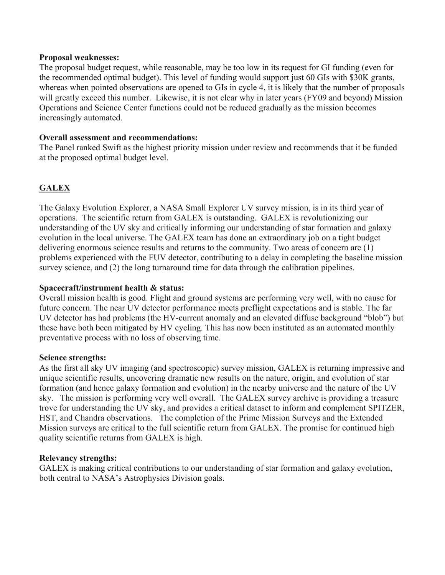#### **Proposal weaknesses:**

The proposal budget request, while reasonable, may be too low in its request for GI funding (even for the recommended optimal budget). This level of funding would support just 60 GIs with \$30K grants, whereas when pointed observations are opened to GIs in cycle 4, it is likely that the number of proposals will greatly exceed this number. Likewise, it is not clear why in later years (FY09 and beyond) Mission Operations and Science Center functions could not be reduced gradually as the mission becomes increasingly automated.

### **Overall assessment and recommendations:**

The Panel ranked Swift as the highest priority mission under review and recommends that it be funded at the proposed optimal budget level.

# **GALEX**

The Galaxy Evolution Explorer, a NASA Small Explorer UV survey mission, is in its third year of operations. The scientific return from GALEX is outstanding. GALEX is revolutionizing our understanding of the UV sky and critically informing our understanding of star formation and galaxy evolution in the local universe. The GALEX team has done an extraordinary job on a tight budget delivering enormous science results and returns to the community. Two areas of concern are (1) problems experienced with the FUV detector, contributing to a delay in completing the baseline mission survey science, and (2) the long turnaround time for data through the calibration pipelines.

#### **Spacecraft/instrument health & status:**

Overall mission health is good. Flight and ground systems are performing very well, with no cause for future concern. The near UV detector performance meets preflight expectations and is stable. The far UV detector has had problems (the HV-current anomaly and an elevated diffuse background "blob") but these have both been mitigated by HV cycling. This has now been instituted as an automated monthly preventative process with no loss of observing time.

### **Science strengths:**

As the first all sky UV imaging (and spectroscopic) survey mission, GALEX is returning impressive and unique scientific results, uncovering dramatic new results on the nature, origin, and evolution of star formation (and hence galaxy formation and evolution) in the nearby universe and the nature of the UV sky. The mission is performing very well overall. The GALEX survey archive is providing a treasure trove for understanding the UV sky, and provides a critical dataset to inform and complement SPITZER, HST, and Chandra observations. The completion of the Prime Mission Surveys and the Extended Mission surveys are critical to the full scientific return from GALEX. The promise for continued high quality scientific returns from GALEX is high.

#### **Relevancy strengths:**

GALEX is making critical contributions to our understanding of star formation and galaxy evolution, both central to NASA's Astrophysics Division goals.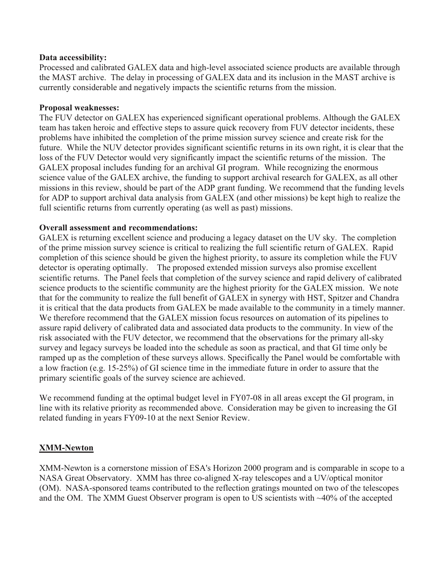### **Data accessibility:**

Processed and calibrated GALEX data and high-level associated science products are available through the MAST archive. The delay in processing of GALEX data and its inclusion in the MAST archive is currently considerable and negatively impacts the scientific returns from the mission.

### **Proposal weaknesses:**

The FUV detector on GALEX has experienced significant operational problems. Although the GALEX team has taken heroic and effective steps to assure quick recovery from FUV detector incidents, these problems have inhibited the completion of the prime mission survey science and create risk for the future. While the NUV detector provides significant scientific returns in its own right, it is clear that the loss of the FUV Detector would very significantly impact the scientific returns of the mission. The GALEX proposal includes funding for an archival GI program. While recognizing the enormous science value of the GALEX archive, the funding to support archival research for GALEX, as all other missions in this review, should be part of the ADP grant funding. We recommend that the funding levels for ADP to support archival data analysis from GALEX (and other missions) be kept high to realize the full scientific returns from currently operating (as well as past) missions.

### **Overall assessment and recommendations:**

GALEX is returning excellent science and producing a legacy dataset on the UV sky. The completion of the prime mission survey science is critical to realizing the full scientific return of GALEX. Rapid completion of this science should be given the highest priority, to assure its completion while the FUV detector is operating optimally. The proposed extended mission surveys also promise excellent scientific returns. The Panel feels that completion of the survey science and rapid delivery of calibrated science products to the scientific community are the highest priority for the GALEX mission. We note that for the community to realize the full benefit of GALEX in synergy with HST, Spitzer and Chandra it is critical that the data products from GALEX be made available to the community in a timely manner. We therefore recommend that the GALEX mission focus resources on automation of its pipelines to assure rapid delivery of calibrated data and associated data products to the community. In view of the risk associated with the FUV detector, we recommend that the observations for the primary all-sky survey and legacy surveys be loaded into the schedule as soon as practical, and that GI time only be ramped up as the completion of these surveys allows. Specifically the Panel would be comfortable with a low fraction (e.g. 15-25%) of GI science time in the immediate future in order to assure that the primary scientific goals of the survey science are achieved.

We recommend funding at the optimal budget level in FY07-08 in all areas except the GI program, in line with its relative priority as recommended above. Consideration may be given to increasing the GI related funding in years FY09-10 at the next Senior Review.

### **XMM-Newton**

XMM-Newton is a cornerstone mission of ESA's Horizon 2000 program and is comparable in scope to a NASA Great Observatory. XMM has three co-aligned X-ray telescopes and a UV/optical monitor (OM). NASA-sponsored teams contributed to the reflection gratings mounted on two of the telescopes and the OM. The XMM Guest Observer program is open to US scientists with ~40% of the accepted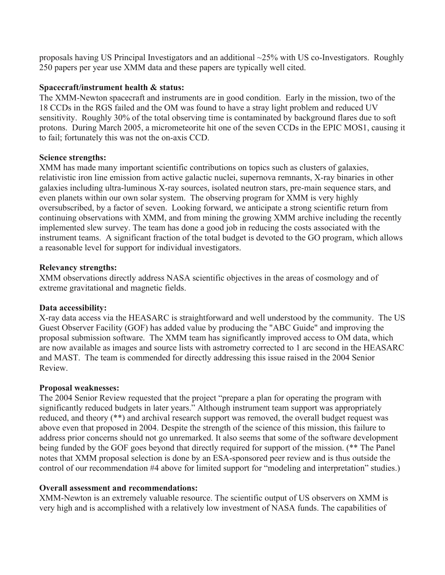proposals having US Principal Investigators and an additional ~25% with US co-Investigators. Roughly 250 papers per year use XMM data and these papers are typically well cited.

### **Spacecraft/instrument health & status:**

The XMM-Newton spacecraft and instruments are in good condition. Early in the mission, two of the 18 CCDs in the RGS failed and the OM was found to have a stray light problem and reduced UV sensitivity. Roughly 30% of the total observing time is contaminated by background flares due to soft protons. During March 2005, a micrometeorite hit one of the seven CCDs in the EPIC MOS1, causing it to fail; fortunately this was not the on-axis CCD.

### **Science strengths:**

XMM has made many important scientific contributions on topics such as clusters of galaxies, relativistic iron line emission from active galactic nuclei, supernova remnants, X-ray binaries in other galaxies including ultra-luminous X-ray sources, isolated neutron stars, pre-main sequence stars, and even planets within our own solar system. The observing program for XMM is very highly oversubscribed, by a factor of seven. Looking forward, we anticipate a strong scientific return from continuing observations with XMM, and from mining the growing XMM archive including the recently implemented slew survey. The team has done a good job in reducing the costs associated with the instrument teams. A significant fraction of the total budget is devoted to the GO program, which allows a reasonable level for support for individual investigators.

### **Relevancy strengths:**

XMM observations directly address NASA scientific objectives in the areas of cosmology and of extreme gravitational and magnetic fields.

### **Data accessibility:**

X-ray data access via the HEASARC is straightforward and well understood by the community. The US Guest Observer Facility (GOF) has added value by producing the "ABC Guide" and improving the proposal submission software. The XMM team has significantly improved access to OM data, which are now available as images and source lists with astrometry corrected to 1 arc second in the HEASARC and MAST. The team is commended for directly addressing this issue raised in the 2004 Senior Review.

### **Proposal weaknesses:**

The 2004 Senior Review requested that the project "prepare a plan for operating the program with significantly reduced budgets in later years." Although instrument team support was appropriately reduced, and theory (\*\*) and archival research support was removed, the overall budget request was above even that proposed in 2004. Despite the strength of the science of this mission, this failure to address prior concerns should not go unremarked. It also seems that some of the software development being funded by the GOF goes beyond that directly required for support of the mission. (\*\* The Panel notes that XMM proposal selection is done by an ESA-sponsored peer review and is thus outside the control of our recommendation #4 above for limited support for "modeling and interpretation" studies.)

### **Overall assessment and recommendations:**

XMM-Newton is an extremely valuable resource. The scientific output of US observers on XMM is very high and is accomplished with a relatively low investment of NASA funds. The capabilities of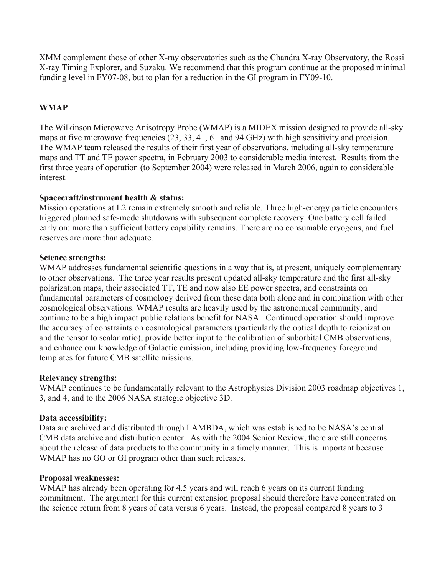XMM complement those of other X-ray observatories such as the Chandra X-ray Observatory, the Rossi X-ray Timing Explorer, and Suzaku. We recommend that this program continue at the proposed minimal funding level in FY07-08, but to plan for a reduction in the GI program in FY09-10.

# **WMAP**

The Wilkinson Microwave Anisotropy Probe (WMAP) is a MIDEX mission designed to provide all-sky maps at five microwave frequencies (23, 33, 41, 61 and 94 GHz) with high sensitivity and precision. The WMAP team released the results of their first year of observations, including all-sky temperature maps and TT and TE power spectra, in February 2003 to considerable media interest. Results from the first three years of operation (to September 2004) were released in March 2006, again to considerable interest.

### **Spacecraft/instrument health & status:**

Mission operations at L2 remain extremely smooth and reliable. Three high-energy particle encounters triggered planned safe-mode shutdowns with subsequent complete recovery. One battery cell failed early on: more than sufficient battery capability remains. There are no consumable cryogens, and fuel reserves are more than adequate.

### **Science strengths:**

WMAP addresses fundamental scientific questions in a way that is, at present, uniquely complementary to other observations. The three year results present updated all-sky temperature and the first all-sky polarization maps, their associated TT, TE and now also EE power spectra, and constraints on fundamental parameters of cosmology derived from these data both alone and in combination with other cosmological observations. WMAP results are heavily used by the astronomical community, and continue to be a high impact public relations benefit for NASA. Continued operation should improve the accuracy of constraints on cosmological parameters (particularly the optical depth to reionization and the tensor to scalar ratio), provide better input to the calibration of suborbital CMB observations, and enhance our knowledge of Galactic emission, including providing low-frequency foreground templates for future CMB satellite missions.

### **Relevancy strengths:**

WMAP continues to be fundamentally relevant to the Astrophysics Division 2003 roadmap objectives 1, 3, and 4, and to the 2006 NASA strategic objective 3D.

### **Data accessibility:**

Data are archived and distributed through LAMBDA, which was established to be NASA's central CMB data archive and distribution center. As with the 2004 Senior Review, there are still concerns about the release of data products to the community in a timely manner. This is important because WMAP has no GO or GI program other than such releases.

### **Proposal weaknesses:**

WMAP has already been operating for 4.5 years and will reach 6 years on its current funding commitment. The argument for this current extension proposal should therefore have concentrated on the science return from 8 years of data versus 6 years. Instead, the proposal compared 8 years to 3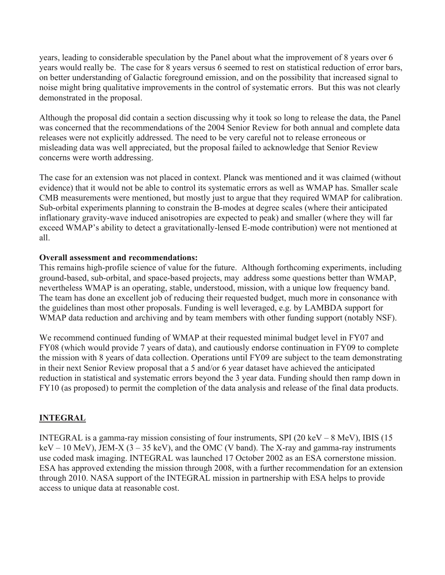years, leading to considerable speculation by the Panel about what the improvement of 8 years over 6 years would really be. The case for 8 years versus 6 seemed to rest on statistical reduction of error bars, on better understanding of Galactic foreground emission, and on the possibility that increased signal to noise might bring qualitative improvements in the control of systematic errors. But this was not clearly demonstrated in the proposal.

Although the proposal did contain a section discussing why it took so long to release the data, the Panel was concerned that the recommendations of the 2004 Senior Review for both annual and complete data releases were not explicitly addressed. The need to be very careful not to release erroneous or misleading data was well appreciated, but the proposal failed to acknowledge that Senior Review concerns were worth addressing.

The case for an extension was not placed in context. Planck was mentioned and it was claimed (without evidence) that it would not be able to control its systematic errors as well as WMAP has. Smaller scale CMB measurements were mentioned, but mostly just to argue that they required WMAP for calibration. Sub-orbital experiments planning to constrain the B-modes at degree scales (where their anticipated inflationary gravity-wave induced anisotropies are expected to peak) and smaller (where they will far exceed WMAP's ability to detect a gravitationally-lensed E-mode contribution) were not mentioned at all.

### **Overall assessment and recommendations:**

This remains high-profile science of value for the future. Although forthcoming experiments, including ground-based, sub-orbital, and space-based projects, may address some questions better than WMAP, nevertheless WMAP is an operating, stable, understood, mission, with a unique low frequency band. The team has done an excellent job of reducing their requested budget, much more in consonance with the guidelines than most other proposals. Funding is well leveraged, e.g. by LAMBDA support for WMAP data reduction and archiving and by team members with other funding support (notably NSF).

We recommend continued funding of WMAP at their requested minimal budget level in FY07 and FY08 (which would provide 7 years of data), and cautiously endorse continuation in FY09 to complete the mission with 8 years of data collection. Operations until FY09 are subject to the team demonstrating in their next Senior Review proposal that a 5 and/or 6 year dataset have achieved the anticipated reduction in statistical and systematic errors beyond the 3 year data. Funding should then ramp down in FY10 (as proposed) to permit the completion of the data analysis and release of the final data products.

### **INTEGRAL**

INTEGRAL is a gamma-ray mission consisting of four instruments, SPI (20 keV – 8 MeV), IBIS (15  $keV - 10$  MeV), JEM-X (3 – 35 keV), and the OMC (V band). The X-ray and gamma-ray instruments use coded mask imaging. INTEGRAL was launched 17 October 2002 as an ESA cornerstone mission. ESA has approved extending the mission through 2008, with a further recommendation for an extension through 2010. NASA support of the INTEGRAL mission in partnership with ESA helps to provide access to unique data at reasonable cost.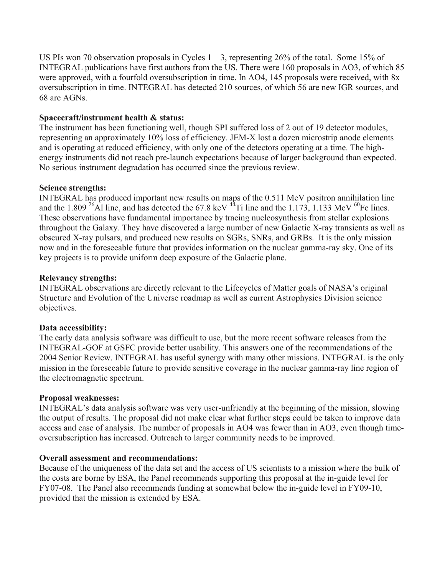US PIs won 70 observation proposals in Cycles  $1 - 3$ , representing 26% of the total. Some 15% of INTEGRAL publications have first authors from the US. There were 160 proposals in AO3, of which 85 were approved, with a fourfold oversubscription in time. In AO4, 145 proposals were received, with 8x oversubscription in time. INTEGRAL has detected 210 sources, of which 56 are new IGR sources, and 68 are AGNs.

### **Spacecraft/instrument health & status:**

The instrument has been functioning well, though SPI suffered loss of 2 out of 19 detector modules, representing an approximately 10% loss of efficiency. JEM-X lost a dozen microstrip anode elements and is operating at reduced efficiency, with only one of the detectors operating at a time. The highenergy instruments did not reach pre-launch expectations because of larger background than expected. No serious instrument degradation has occurred since the previous review.

### **Science strengths:**

INTEGRAL has produced important new results on maps of the 0.511 MeV positron annihilation line and the 1.809<sup>26</sup>Al line, and has detected the 67.8 keV <sup>44</sup>Ti line and the 1.173, 1.133 MeV <sup>60</sup>Fe lines. These observations have fundamental importance by tracing nucleosynthesis from stellar explosions throughout the Galaxy. They have discovered a large number of new Galactic X-ray transients as well as obscured X-ray pulsars, and produced new results on SGRs, SNRs, and GRBs. It is the only mission now and in the foreseeable future that provides information on the nuclear gamma-ray sky. One of its key projects is to provide uniform deep exposure of the Galactic plane.

### **Relevancy strengths:**

INTEGRAL observations are directly relevant to the Lifecycles of Matter goals of NASA's original Structure and Evolution of the Universe roadmap as well as current Astrophysics Division science objectives.

### **Data accessibility:**

The early data analysis software was difficult to use, but the more recent software releases from the INTEGRAL-GOF at GSFC provide better usability. This answers one of the recommendations of the 2004 Senior Review. INTEGRAL has useful synergy with many other missions. INTEGRAL is the only mission in the foreseeable future to provide sensitive coverage in the nuclear gamma-ray line region of the electromagnetic spectrum.

### **Proposal weaknesses:**

INTEGRAL's data analysis software was very user-unfriendly at the beginning of the mission, slowing the output of results. The proposal did not make clear what further steps could be taken to improve data access and ease of analysis. The number of proposals in AO4 was fewer than in AO3, even though timeoversubscription has increased. Outreach to larger community needs to be improved.

### **Overall assessment and recommendations:**

Because of the uniqueness of the data set and the access of US scientists to a mission where the bulk of the costs are borne by ESA, the Panel recommends supporting this proposal at the in-guide level for FY07-08. The Panel also recommends funding at somewhat below the in-guide level in FY09-10, provided that the mission is extended by ESA.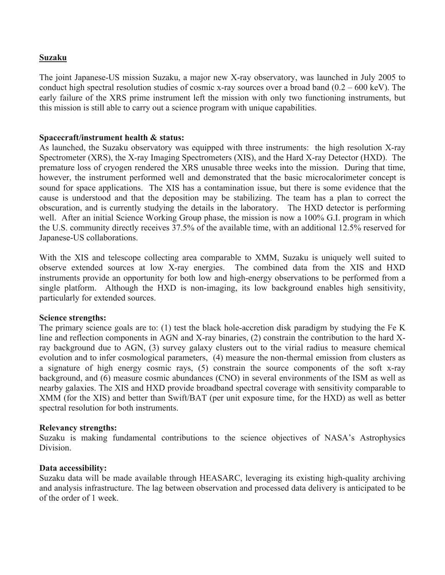### **Suzaku**

The joint Japanese-US mission Suzaku, a major new X-ray observatory, was launched in July 2005 to conduct high spectral resolution studies of cosmic x-ray sources over a broad band  $(0.2 - 600 \text{ keV})$ . The early failure of the XRS prime instrument left the mission with only two functioning instruments, but this mission is still able to carry out a science program with unique capabilities.

### **Spacecraft/instrument health & status:**

As launched, the Suzaku observatory was equipped with three instruments: the high resolution X-ray Spectrometer (XRS), the X-ray Imaging Spectrometers (XIS), and the Hard X-ray Detector (HXD). The premature loss of cryogen rendered the XRS unusable three weeks into the mission. During that time, however, the instrument performed well and demonstrated that the basic microcalorimeter concept is sound for space applications. The XIS has a contamination issue, but there is some evidence that the cause is understood and that the deposition may be stabilizing. The team has a plan to correct the obscuration, and is currently studying the details in the laboratory. The HXD detector is performing well. After an initial Science Working Group phase, the mission is now a 100% G.I. program in which the U.S. community directly receives 37.5% of the available time, with an additional 12.5% reserved for Japanese-US collaborations.

With the XIS and telescope collecting area comparable to XMM, Suzaku is uniquely well suited to observe extended sources at low X-ray energies. The combined data from the XIS and HXD instruments provide an opportunity for both low and high-energy observations to be performed from a single platform. Although the HXD is non-imaging, its low background enables high sensitivity, particularly for extended sources.

### **Science strengths:**

The primary science goals are to: (1) test the black hole-accretion disk paradigm by studying the Fe K line and reflection components in AGN and X-ray binaries, (2) constrain the contribution to the hard Xray background due to AGN, (3) survey galaxy clusters out to the virial radius to measure chemical evolution and to infer cosmological parameters, (4) measure the non-thermal emission from clusters as a signature of high energy cosmic rays, (5) constrain the source components of the soft x-ray background, and (6) measure cosmic abundances (CNO) in several environments of the ISM as well as nearby galaxies. The XIS and HXD provide broadband spectral coverage with sensitivity comparable to XMM (for the XIS) and better than Swift/BAT (per unit exposure time, for the HXD) as well as better spectral resolution for both instruments.

### **Relevancy strengths:**

Suzaku is making fundamental contributions to the science objectives of NASA's Astrophysics Division.

### **Data accessibility:**

Suzaku data will be made available through HEASARC, leveraging its existing high-quality archiving and analysis infrastructure. The lag between observation and processed data delivery is anticipated to be of the order of 1 week.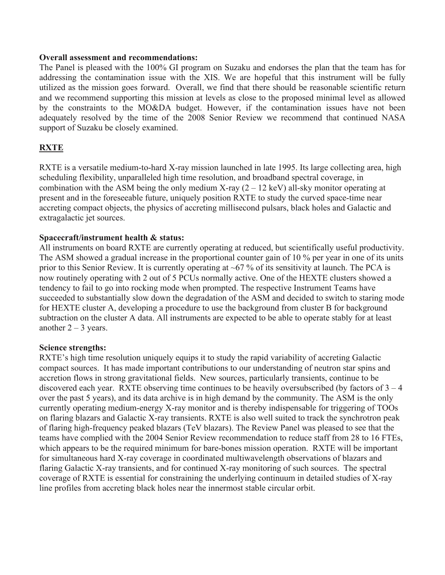#### **Overall assessment and recommendations:**

The Panel is pleased with the 100% GI program on Suzaku and endorses the plan that the team has for addressing the contamination issue with the XIS. We are hopeful that this instrument will be fully utilized as the mission goes forward. Overall, we find that there should be reasonable scientific return and we recommend supporting this mission at levels as close to the proposed minimal level as allowed by the constraints to the MO&DA budget. However, if the contamination issues have not been adequately resolved by the time of the 2008 Senior Review we recommend that continued NASA support of Suzaku be closely examined.

## **RXTE**

RXTE is a versatile medium-to-hard X-ray mission launched in late 1995. Its large collecting area, high scheduling flexibility, unparalleled high time resolution, and broadband spectral coverage, in combination with the ASM being the only medium X-ray  $(2 – 12 \text{ keV})$  all-sky monitor operating at present and in the foreseeable future, uniquely position RXTE to study the curved space-time near accreting compact objects, the physics of accreting millisecond pulsars, black holes and Galactic and extragalactic jet sources.

### **Spacecraft/instrument health & status:**

All instruments on board RXTE are currently operating at reduced, but scientifically useful productivity. The ASM showed a gradual increase in the proportional counter gain of 10 % per year in one of its units prior to this Senior Review. It is currently operating at  $\sim 67$  % of its sensitivity at launch. The PCA is now routinely operating with 2 out of 5 PCUs normally active. One of the HEXTE clusters showed a tendency to fail to go into rocking mode when prompted. The respective Instrument Teams have succeeded to substantially slow down the degradation of the ASM and decided to switch to staring mode for HEXTE cluster A, developing a procedure to use the background from cluster B for background subtraction on the cluster A data. All instruments are expected to be able to operate stably for at least another  $2 - 3$  years.

### **Science strengths:**

RXTE's high time resolution uniquely equips it to study the rapid variability of accreting Galactic compact sources. It has made important contributions to our understanding of neutron star spins and accretion flows in strong gravitational fields. New sources, particularly transients, continue to be discovered each year. RXTE observing time continues to be heavily oversubscribed (by factors of  $3 - 4$ ) over the past 5 years), and its data archive is in high demand by the community. The ASM is the only currently operating medium-energy X-ray monitor and is thereby indispensable for triggering of TOOs on flaring blazars and Galactic X-ray transients. RXTE is also well suited to track the synchrotron peak of flaring high-frequency peaked blazars (TeV blazars). The Review Panel was pleased to see that the teams have complied with the 2004 Senior Review recommendation to reduce staff from 28 to 16 FTEs, which appears to be the required minimum for bare-bones mission operation. RXTE will be important for simultaneous hard X-ray coverage in coordinated multiwavelength observations of blazars and flaring Galactic X-ray transients, and for continued X-ray monitoring of such sources. The spectral coverage of RXTE is essential for constraining the underlying continuum in detailed studies of X-ray line profiles from accreting black holes near the innermost stable circular orbit.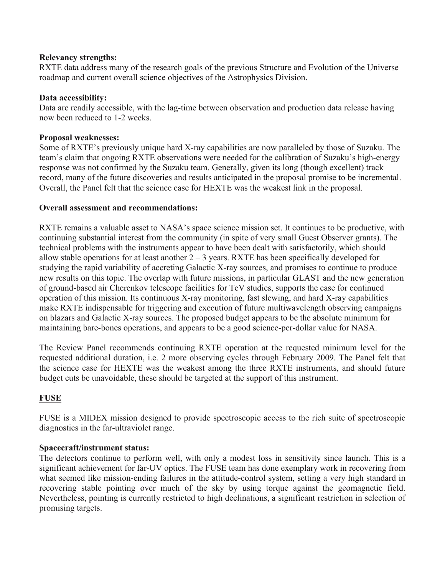### **Relevancy strengths:**

RXTE data address many of the research goals of the previous Structure and Evolution of the Universe roadmap and current overall science objectives of the Astrophysics Division.

### **Data accessibility:**

Data are readily accessible, with the lag-time between observation and production data release having now been reduced to 1-2 weeks.

### **Proposal weaknesses:**

Some of RXTE's previously unique hard X-ray capabilities are now paralleled by those of Suzaku. The team's claim that ongoing RXTE observations were needed for the calibration of Suzaku's high-energy response was not confirmed by the Suzaku team. Generally, given its long (though excellent) track record, many of the future discoveries and results anticipated in the proposal promise to be incremental. Overall, the Panel felt that the science case for HEXTE was the weakest link in the proposal.

### **Overall assessment and recommendations:**

RXTE remains a valuable asset to NASA's space science mission set. It continues to be productive, with continuing substantial interest from the community (in spite of very small Guest Observer grants). The technical problems with the instruments appear to have been dealt with satisfactorily, which should allow stable operations for at least another  $2 - 3$  years. RXTE has been specifically developed for studying the rapid variability of accreting Galactic X-ray sources, and promises to continue to produce new results on this topic. The overlap with future missions, in particular GLAST and the new generation of ground-based air Cherenkov telescope facilities for TeV studies, supports the case for continued operation of this mission. Its continuous X-ray monitoring, fast slewing, and hard X-ray capabilities make RXTE indispensable for triggering and execution of future multiwavelength observing campaigns on blazars and Galactic X-ray sources. The proposed budget appears to be the absolute minimum for maintaining bare-bones operations, and appears to be a good science-per-dollar value for NASA.

The Review Panel recommends continuing RXTE operation at the requested minimum level for the requested additional duration, i.e. 2 more observing cycles through February 2009. The Panel felt that the science case for HEXTE was the weakest among the three RXTE instruments, and should future budget cuts be unavoidable, these should be targeted at the support of this instrument.

# **FUSE**

FUSE is a MIDEX mission designed to provide spectroscopic access to the rich suite of spectroscopic diagnostics in the far-ultraviolet range.

### **Spacecraft/instrument status:**

The detectors continue to perform well, with only a modest loss in sensitivity since launch. This is a significant achievement for far-UV optics. The FUSE team has done exemplary work in recovering from what seemed like mission-ending failures in the attitude-control system, setting a very high standard in recovering stable pointing over much of the sky by using torque against the geomagnetic field. Nevertheless, pointing is currently restricted to high declinations, a significant restriction in selection of promising targets.